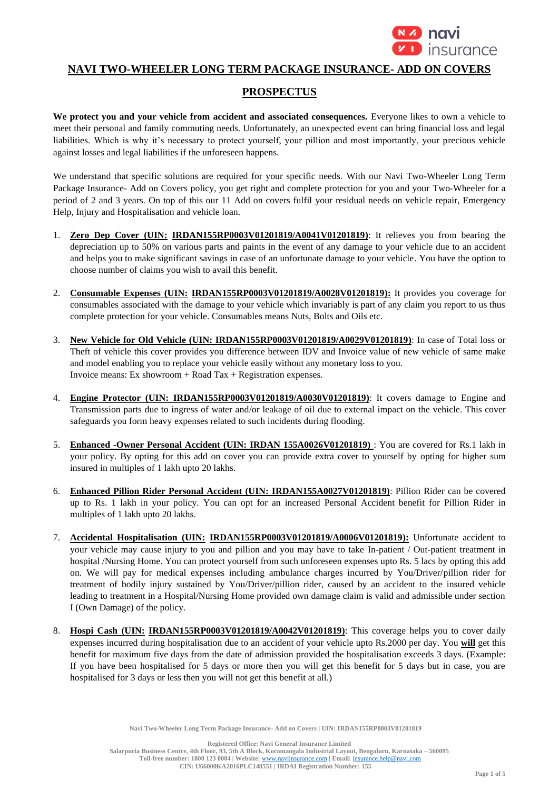

# **NAVI TWO-WHEELER LONG TERM PACKAGE INSURANCE- ADD ON COVERS**

# **PROSPECTUS**

**We protect you and your vehicle from accident and associated consequences.** Everyone likes to own a vehicle to meet their personal and family commuting needs. Unfortunately, an unexpected event can bring financial loss and legal liabilities. Which is why it's necessary to protect yourself, your pillion and most importantly, your precious vehicle against losses and legal liabilities if the unforeseen happens.

We understand that specific solutions are required for your specific needs. With our Navi Two-Wheeler Long Term Package Insurance- Add on Covers policy, you get right and complete protection for you and your Two-Wheeler for a period of 2 and 3 years. On top of this our 11 Add on covers fulfil your residual needs on vehicle repair, Emergency Help, Injury and Hospitalisation and vehicle loan.

- 1. **Zero Dep Cover (UIN: IRDAN155RP0003V01201819/A0041V01201819)**: It relieves you from bearing the depreciation up to 50% on various parts and paints in the event of any damage to your vehicle due to an accident and helps you to make significant savings in case of an unfortunate damage to your vehicle. You have the option to choose number of claims you wish to avail this benefit.
- 2. **Consumable Expenses (UIN: IRDAN155RP0003V01201819/A0028V01201819):** It provides you coverage for consumables associated with the damage to your vehicle which invariably is part of any claim you report to us thus complete protection for your vehicle. Consumables means Nuts, Bolts and Oils etc.
- 3. **New Vehicle for Old Vehicle (UIN: IRDAN155RP0003V01201819/A0029V01201819)**: In case of Total loss or Theft of vehicle this cover provides you difference between IDV and Invoice value of new vehicle of same make and model enabling you to replace your vehicle easily without any monetary loss to you. Invoice means: Ex showroom  $+$  Road Tax  $+$  Registration expenses.
- 4. **Engine Protector (UIN: IRDAN155RP0003V01201819/A0030V01201819)**: It covers damage to Engine and Transmission parts due to ingress of water and/or leakage of oil due to external impact on the vehicle. This cover safeguards you form heavy expenses related to such incidents during flooding.
- 5. **Enhanced -Owner Personal Accident (UIN: IRDAN 155A0026V01201819)** : You are covered for Rs.1 lakh in your policy. By opting for this add on cover you can provide extra cover to yourself by opting for higher sum insured in multiples of 1 lakh upto 20 lakhs.
- 6. **Enhanced Pillion Rider Personal Accident (UIN: IRDAN155A0027V01201819)**: Pillion Rider can be covered up to Rs. 1 lakh in your policy. You can opt for an increased Personal Accident benefit for Pillion Rider in multiples of 1 lakh upto 20 lakhs.
- 7. **Accidental Hospitalisation (UIN: IRDAN155RP0003V01201819/A0006V01201819):** Unfortunate accident to your vehicle may cause injury to you and pillion and you may have to take In-patient / Out-patient treatment in hospital /Nursing Home. You can protect yourself from such unforeseen expenses upto Rs. 5 lacs by opting this add on. We will pay for medical expenses including ambulance charges incurred by You/Driver/pillion rider for treatment of bodily injury sustained by You/Driver/pillion rider, caused by an accident to the insured vehicle leading to treatment in a Hospital/Nursing Home provided own damage claim is valid and admissible under section I (Own Damage) of the policy.
- 8. **Hospi Cash (UIN: IRDAN155RP0003V01201819/A0042V01201819)**: This coverage helps you to cover daily expenses incurred during hospitalisation due to an accident of your vehicle upto Rs.2000 per day. You **will** get this benefit for maximum five days from the date of admission provided the hospitalisation exceeds 3 days. (Example: If you have been hospitalised for 5 days or more then you will get this benefit for 5 days but in case, you are hospitalised for 3 days or less then you will not get this benefit at all.)

**Registered Office: Navi General Insurance Limited**

**Salarpuria Business Centre, 4th Floor, 93, 5th A Block, Koramangala Industrial Layout, Bengaluru, Karnataka – 560095 Toll-free number: 1800 123 0004 | Website:** [www.naviinsurance.com](http://www.naviinsurance.com/) **| Email:** [insurance.help@navi.com](mailto:insurance.help@navi.com)

**CIN: U66000KA2016PLC148551 | IRDAI Registration Number: 155**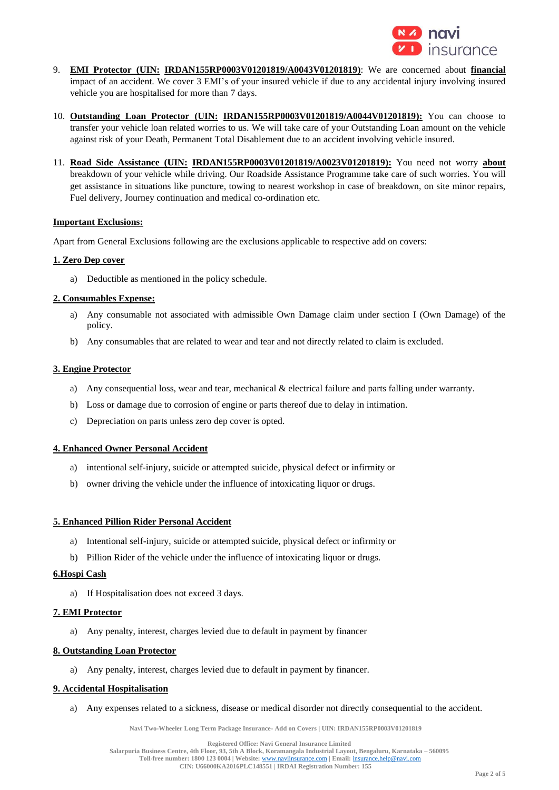

- 9. **EMI Protector (UIN: IRDAN155RP0003V01201819/A0043V01201819)**: We are concerned about **financial** impact of an accident. We cover 3 EMI's of your insured vehicle if due to any accidental injury involving insured vehicle you are hospitalised for more than 7 days.
- 10. **Outstanding Loan Protector (UIN: IRDAN155RP0003V01201819/A0044V01201819):** You can choose to transfer your vehicle loan related worries to us. We will take care of your Outstanding Loan amount on the vehicle against risk of your Death, Permanent Total Disablement due to an accident involving vehicle insured.
- 11. **Road Side Assistance (UIN: IRDAN155RP0003V01201819/A0023V01201819):** You need not worry **about** breakdown of your vehicle while driving. Our Roadside Assistance Programme take care of such worries. You will get assistance in situations like puncture, towing to nearest workshop in case of breakdown, on site minor repairs, Fuel delivery, Journey continuation and medical co-ordination etc.

# **Important Exclusions:**

Apart from General Exclusions following are the exclusions applicable to respective add on covers:

#### **1. Zero Dep cover**

a) Deductible as mentioned in the policy schedule.

#### **2. Consumables Expense:**

- a) Any consumable not associated with admissible Own Damage claim under section I (Own Damage) of the policy.
- b) Any consumables that are related to wear and tear and not directly related to claim is excluded.

#### **3. Engine Protector**

- a) Any consequential loss, wear and tear, mechanical & electrical failure and parts falling under warranty.
- b) Loss or damage due to corrosion of engine or parts thereof due to delay in intimation.
- c) Depreciation on parts unless zero dep cover is opted.

# **4. Enhanced Owner Personal Accident**

- a) intentional self-injury, suicide or attempted suicide, physical defect or infirmity or
- b) owner driving the vehicle under the influence of intoxicating liquor or drugs.

#### **5. Enhanced Pillion Rider Personal Accident**

- a) Intentional self-injury, suicide or attempted suicide, physical defect or infirmity or
- b) Pillion Rider of the vehicle under the influence of intoxicating liquor or drugs.

### **6.Hospi Cash**

a) If Hospitalisation does not exceed 3 days.

#### **7. EMI Protector**

a) Any penalty, interest, charges levied due to default in payment by financer

#### **8. Outstanding Loan Protector**

a) Any penalty, interest, charges levied due to default in payment by financer.

# **9. Accidental Hospitalisation**

a) Any expenses related to a sickness, disease or medical disorder not directly consequential to the accident.

**Navi Two-Wheeler Long Term Package Insurance- Add on Covers | UIN: IRDAN155RP0003V01201819**

**Registered Office: Navi General Insurance Limited**

**Salarpuria Business Centre, 4th Floor, 93, 5th A Block, Koramangala Industrial Layout, Bengaluru, Karnataka – 560095 Toll-free number: 1800 123 0004 | Website:** [www.naviinsurance.com](http://www.naviinsurance.com/) **| Email:** [insurance.help@navi.com](mailto:insurance.help@navi.com)

**CIN: U66000KA2016PLC148551 | IRDAI Registration Number: 155**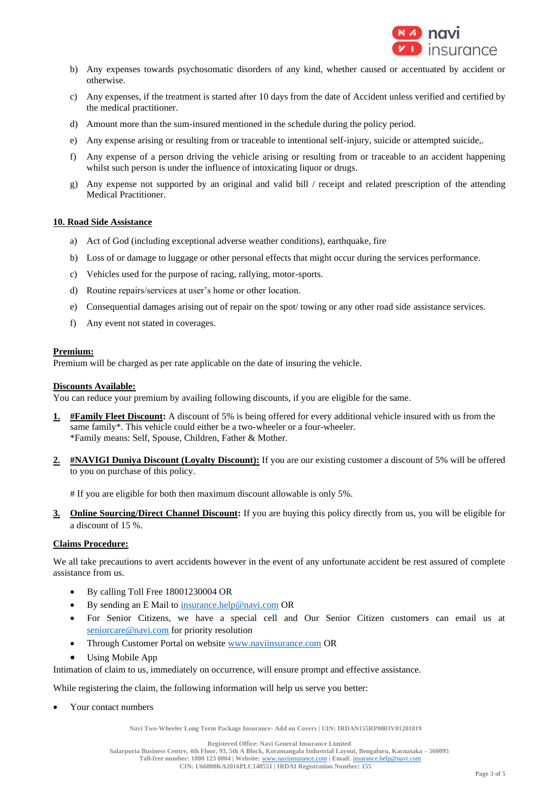

- b) Any expenses towards psychosomatic disorders of any kind, whether caused or accentuated by accident or otherwise.
- c) Any expenses, if the treatment is started after 10 days from the date of Accident unless verified and certified by the medical practitioner.
- d) Amount more than the sum-insured mentioned in the schedule during the policy period.
- e) Any expense arising or resulting from or traceable to intentional self-injury, suicide or attempted suicide,.
- f) Any expense of a person driving the vehicle arising or resulting from or traceable to an accident happening whilst such person is under the influence of intoxicating liquor or drugs.
- g) Any expense not supported by an original and valid bill / receipt and related prescription of the attending Medical Practitioner.

# **10. Road Side Assistance**

- a) Act of God (including exceptional adverse weather conditions), earthquake, fire
- b) Loss of or damage to luggage or other personal effects that might occur during the services performance.
- c) Vehicles used for the purpose of racing, rallying, motor-sports.
- d) Routine repairs/services at user's home or other location.
- e) Consequential damages arising out of repair on the spot/ towing or any other road side assistance services.
- f) Any event not stated in coverages.

#### **Premium:**

Premium will be charged as per rate applicable on the date of insuring the vehicle.

#### **Discounts Available:**

You can reduce your premium by availing following discounts, if you are eligible for the same.

- **1. #Family Fleet Discount:** A discount of 5% is being offered for every additional vehicle insured with us from the same family\*. This vehicle could either be a two-wheeler or a four-wheeler. \*Family means: Self, Spouse, Children, Father & Mother.
- 2. **#NAVIGI Duniya Discount (Loyalty Discount):** If you are our existing customer a discount of 5% will be offered to you on purchase of this policy.

# If you are eligible for both then maximum discount allowable is only 5%.

**3. Online Sourcing/Direct Channel Discount:** If you are buying this policy directly from us, you will be eligible for a discount of 15 %.

# **Claims Procedure:**

We all take precautions to avert accidents however in the event of any unfortunate accident be rest assured of complete assistance from us.

- By calling Toll Free 18001230004 OR
- By sending an E Mail t[o insurance.help@navi.com](mailto:insurance.help@navi.com) OR
- For Senior Citizens, we have a special cell and Our Senior Citizen customers can email us at [seniorcare@navi.com](mailto:seniorcare@navi.com) for priority resolution
- Through Customer Portal on website [www.naviinsurance.com](http://www.naviinsurance.com/) OR
- Using Mobile App

Intimation of claim to us, immediately on occurrence, will ensure prompt and effective assistance.

While registering the claim, the following information will help us serve you better:

• Your contact numbers

**Navi Two-Wheeler Long Term Package Insurance- Add on Covers | UIN: IRDAN155RP0003V01201819**

**Registered Office: Navi General Insurance Limited**

**Salarpuria Business Centre, 4th Floor, 93, 5th A Block, Koramangala Industrial Layout, Bengaluru, Karnataka – 560095**

**Toll-free number: 1800 123 0004 | Website:** [www.naviinsurance.com](http://www.naviinsurance.com/) **| Email:** [insurance.help@navi.com](mailto:insurance.help@navi.com) **CIN: U66000KA2016PLC148551 | IRDAI Registration Number: 155**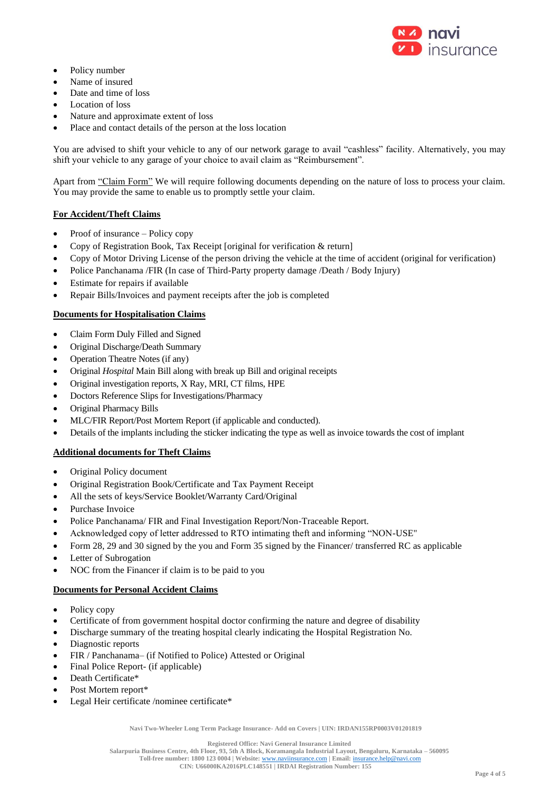

- Policy number
- Name of insured
- Date and time of loss
- Location of loss
- Nature and approximate extent of loss
- Place and contact details of the person at the loss location

You are advised to shift your vehicle to any of our network garage to avail "cashless" facility. Alternatively, you may shift your vehicle to any garage of your choice to avail claim as "Reimbursement".

Apart from "Claim Form" We will require following documents depending on the nature of loss to process your claim. You may provide the same to enable us to promptly settle your claim.

# **For Accident/Theft Claims**

- Proof of insurance Policy copy
- Copy of Registration Book, Tax Receipt [original for verification & return]
- Copy of Motor Driving License of the person driving the vehicle at the time of accident (original for verification)
- Police Panchanama /FIR (In case of Third-Party property damage /Death / Body Injury)
- Estimate for repairs if available
- Repair Bills/Invoices and payment receipts after the job is completed

# **Documents for Hospitalisation Claims**

- Claim Form Duly Filled and Signed
- Original Discharge/Death Summary
- Operation Theatre Notes (if any)
- Original *Hospital* Main Bill along with break up Bill and original receipts
- Original investigation reports, X Ray, MRI, CT films, HPE
- Doctors Reference Slips for Investigations/Pharmacy
- Original Pharmacy Bills
- MLC/FIR Report/Post Mortem Report (if applicable and conducted).
- Details of the implants including the sticker indicating the type as well as invoice towards the cost of implant

# **Additional documents for Theft Claims**

- Original Policy document
- Original Registration Book/Certificate and Tax Payment Receipt
- All the sets of keys/Service Booklet/Warranty Card/Original
- Purchase Invoice
- Police Panchanama/ FIR and Final Investigation Report/Non-Traceable Report.
- Acknowledged copy of letter addressed to RTO intimating theft and informing "NON-USE"
- Form 28, 29 and 30 signed by the you and Form 35 signed by the Financer/ transferred RC as applicable
- Letter of Subrogation
- NOC from the Financer if claim is to be paid to you

# **Documents for Personal Accident Claims**

- Policy copy
- Certificate of from government hospital doctor confirming the nature and degree of disability
- Discharge summary of the treating hospital clearly indicating the Hospital Registration No.
- Diagnostic reports
- FIR / Panchanama– (if Notified to Police) Attested or Original
- Final Police Report- (if applicable)
- Death Certificate\*
- Post Mortem report\*
- Legal Heir certificate /nominee certificate\*

**Navi Two-Wheeler Long Term Package Insurance- Add on Covers | UIN: IRDAN155RP0003V01201819**

**Salarpuria Business Centre, 4th Floor, 93, 5th A Block, Koramangala Industrial Layout, Bengaluru, Karnataka – 560095 Toll-free number: 1800 123 0004 | Website:** [www.naviinsurance.com](http://www.naviinsurance.com/) **| Email:** [insurance.help@navi.com](mailto:insurance.help@navi.com)